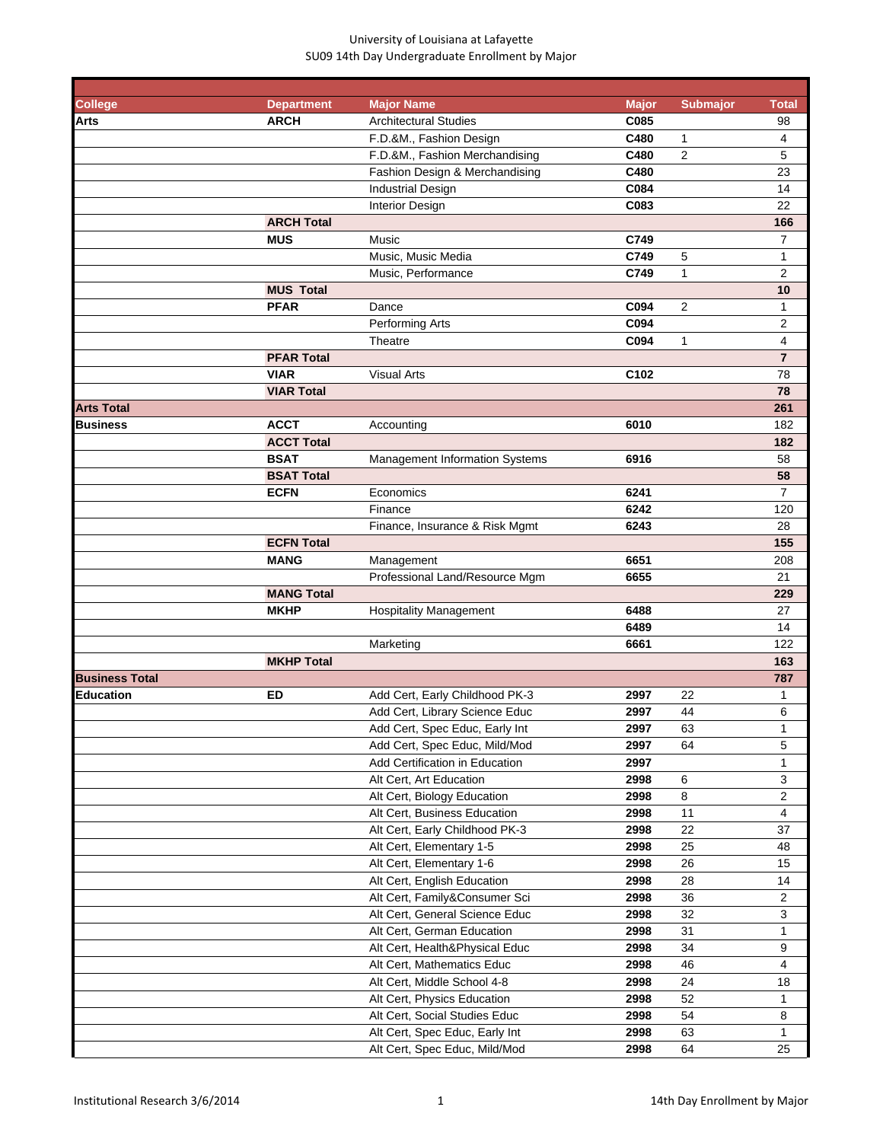| <b>College</b>        | <b>Department</b> | <b>Major Name</b>              | <b>Major</b> | <b>Submajor</b> | <b>Total</b>            |
|-----------------------|-------------------|--------------------------------|--------------|-----------------|-------------------------|
| Arts                  | <b>ARCH</b>       | <b>Architectural Studies</b>   | C085         |                 | 98                      |
|                       |                   | F.D.&M., Fashion Design        | C480         | 1               | $\overline{4}$          |
|                       |                   | F.D.&M., Fashion Merchandising | C480         | $\sqrt{2}$      | 5                       |
|                       |                   | Fashion Design & Merchandising | C480         |                 | 23                      |
|                       |                   | <b>Industrial Design</b>       | C084         |                 | 14                      |
|                       |                   | Interior Design                | C083         |                 | 22                      |
|                       | <b>ARCH Total</b> |                                |              |                 | 166                     |
|                       | <b>MUS</b>        | Music                          | C749         |                 | $\overline{7}$          |
|                       |                   | Music, Music Media             | C749         | 5               | 1                       |
|                       |                   | Music, Performance             | C749         | $\mathbf{1}$    | 2                       |
|                       | <b>MUS Total</b>  |                                |              |                 | 10                      |
|                       | <b>PFAR</b>       | Dance                          | C094         | $\overline{2}$  | 1                       |
|                       |                   | Performing Arts                | C094         |                 | 2                       |
|                       |                   | Theatre                        | C094         | $\mathbf{1}$    | 4                       |
|                       | <b>PFAR Total</b> |                                |              |                 | $\overline{7}$          |
|                       | <b>VIAR</b>       | <b>Visual Arts</b>             | C102         |                 | 78                      |
|                       | <b>VIAR Total</b> |                                |              |                 | 78                      |
| <b>Arts Total</b>     |                   |                                |              |                 | 261                     |
| <b>Business</b>       | <b>ACCT</b>       | Accounting                     | 6010         |                 | 182                     |
|                       | <b>ACCT Total</b> |                                |              |                 | 182                     |
|                       | <b>BSAT</b>       | Management Information Systems | 6916         |                 | 58                      |
|                       | <b>BSAT Total</b> |                                |              |                 | 58                      |
|                       | <b>ECFN</b>       | Economics                      | 6241         |                 | $\overline{7}$          |
|                       |                   | Finance                        | 6242         |                 | 120                     |
|                       |                   | Finance, Insurance & Risk Mgmt | 6243         |                 | 28                      |
|                       | <b>ECFN Total</b> |                                |              |                 | 155                     |
|                       | <b>MANG</b>       | Management                     | 6651         |                 | 208                     |
|                       |                   | Professional Land/Resource Mgm | 6655         |                 | 21                      |
|                       | <b>MANG Total</b> |                                |              |                 | 229                     |
|                       | <b>MKHP</b>       | <b>Hospitality Management</b>  | 6488         |                 | 27                      |
|                       |                   |                                | 6489         |                 | 14                      |
|                       |                   | Marketing                      | 6661         |                 | 122                     |
|                       | <b>MKHP Total</b> |                                |              |                 | 163                     |
| <b>Business Total</b> |                   |                                |              |                 | 787                     |
| <b>Education</b>      | <b>ED</b>         | Add Cert, Early Childhood PK-3 | 2997         | 22              | 1                       |
|                       |                   | Add Cert, Library Science Educ | 2997         | 44              | 6                       |
|                       |                   | Add Cert, Spec Educ, Early Int | 2997         | 63              | 1                       |
|                       |                   | Add Cert, Spec Educ, Mild/Mod  | 2997         | 64              | 5                       |
|                       |                   | Add Certification in Education | 2997         |                 | 1                       |
|                       |                   | Alt Cert, Art Education        | 2998         | 6               | 3                       |
|                       |                   | Alt Cert, Biology Education    | 2998         | 8               | $\overline{\mathbf{c}}$ |
|                       |                   | Alt Cert, Business Education   | 2998         | 11              | $\overline{4}$          |
|                       |                   | Alt Cert, Early Childhood PK-3 | 2998         | 22              | 37                      |
|                       |                   | Alt Cert, Elementary 1-5       | 2998         | 25              | 48                      |
|                       |                   | Alt Cert, Elementary 1-6       | 2998         | 26              | 15                      |
|                       |                   | Alt Cert, English Education    | 2998         | 28              | 14                      |
|                       |                   |                                | 2998         | 36              | $\overline{2}$          |
|                       |                   | Alt Cert, Family&Consumer Sci  | 2998         | 32              | 3                       |
|                       |                   | Alt Cert, General Science Educ | 2998         | 31              | $\mathbf{1}$            |
|                       |                   | Alt Cert, German Education     |              |                 |                         |
|                       |                   | Alt Cert, Health&Physical Educ | 2998         | 34              | 9                       |
|                       |                   | Alt Cert, Mathematics Educ     | 2998         | 46              | 4                       |
|                       |                   | Alt Cert, Middle School 4-8    | 2998         | 24              | 18                      |
|                       |                   | Alt Cert, Physics Education    | 2998         | 52              | 1                       |
|                       |                   | Alt Cert, Social Studies Educ  | 2998         | 54              | 8                       |
|                       |                   | Alt Cert, Spec Educ, Early Int | 2998         | 63              | 1                       |
|                       |                   | Alt Cert, Spec Educ, Mild/Mod  | 2998         | 64              | 25                      |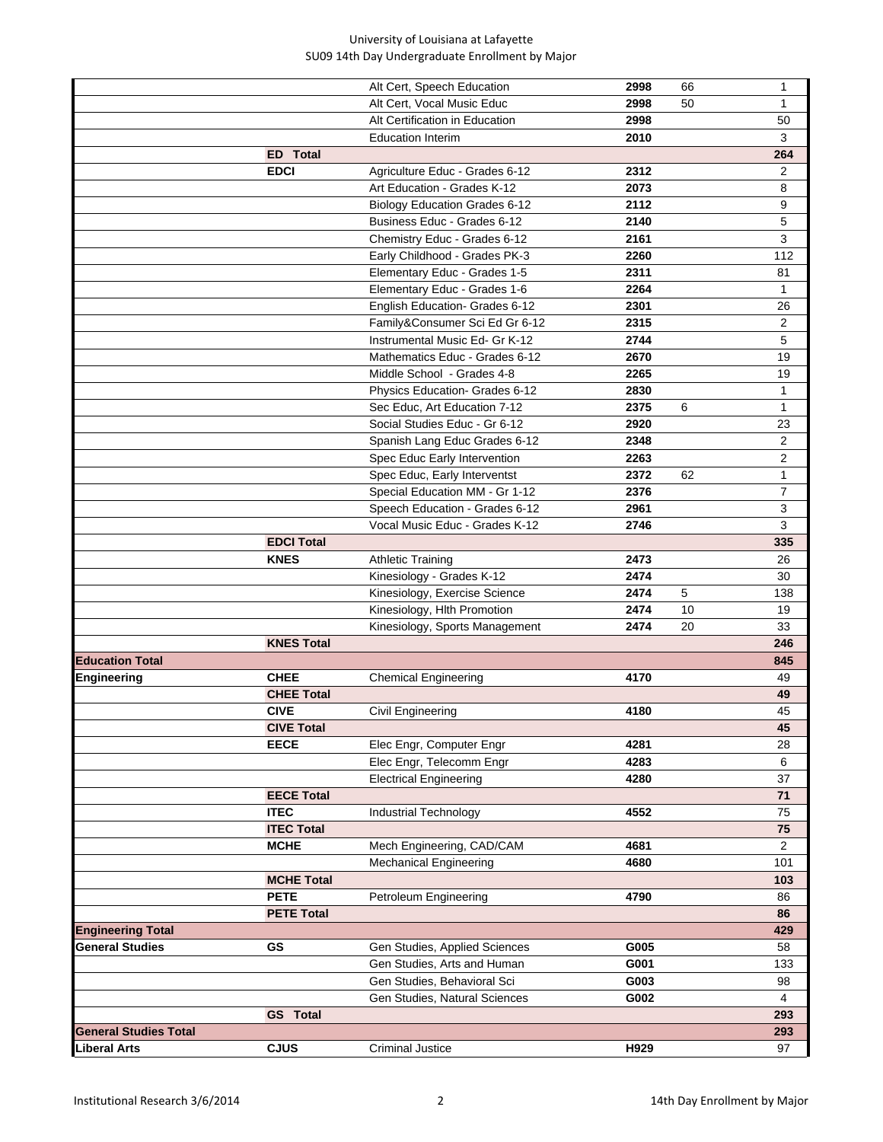|                              |                   | Alt Cert, Speech Education     | 2998 | 66 | $\mathbf{1}$   |
|------------------------------|-------------------|--------------------------------|------|----|----------------|
|                              |                   | Alt Cert, Vocal Music Educ     | 2998 | 50 | 1              |
|                              |                   | Alt Certification in Education | 2998 |    | 50             |
|                              |                   | <b>Education Interim</b>       | 2010 |    | 3              |
|                              | <b>ED</b> Total   |                                |      |    | 264            |
|                              | <b>EDCI</b>       | Agriculture Educ - Grades 6-12 | 2312 |    | 2              |
|                              |                   | Art Education - Grades K-12    | 2073 |    | 8              |
|                              |                   | Biology Education Grades 6-12  | 2112 |    | 9              |
|                              |                   | Business Educ - Grades 6-12    | 2140 |    | 5              |
|                              |                   | Chemistry Educ - Grades 6-12   | 2161 |    | 3              |
|                              |                   | Early Childhood - Grades PK-3  | 2260 |    | 112            |
|                              |                   | Elementary Educ - Grades 1-5   | 2311 |    | 81             |
|                              |                   | Elementary Educ - Grades 1-6   | 2264 |    | 1              |
|                              |                   | English Education- Grades 6-12 | 2301 |    | 26             |
|                              |                   | Family&Consumer Sci Ed Gr 6-12 | 2315 |    | 2              |
|                              |                   | Instrumental Music Ed- Gr K-12 | 2744 |    | 5              |
|                              |                   | Mathematics Educ - Grades 6-12 | 2670 |    | 19             |
|                              |                   | Middle School - Grades 4-8     | 2265 |    | 19             |
|                              |                   | Physics Education- Grades 6-12 | 2830 |    | 1              |
|                              |                   | Sec Educ, Art Education 7-12   | 2375 | 6  | 1              |
|                              |                   | Social Studies Educ - Gr 6-12  | 2920 |    | 23             |
|                              |                   | Spanish Lang Educ Grades 6-12  | 2348 |    | $\overline{c}$ |
|                              |                   | Spec Educ Early Intervention   | 2263 |    | 2              |
|                              |                   | Spec Educ, Early Interventst   | 2372 | 62 | 1              |
|                              |                   | Special Education MM - Gr 1-12 | 2376 |    | $\overline{7}$ |
|                              |                   | Speech Education - Grades 6-12 | 2961 |    | 3              |
|                              |                   | Vocal Music Educ - Grades K-12 | 2746 |    | 3              |
|                              | <b>EDCI Total</b> |                                |      |    | 335            |
|                              | <b>KNES</b>       | <b>Athletic Training</b>       | 2473 |    | 26             |
|                              |                   | Kinesiology - Grades K-12      | 2474 |    | 30             |
|                              |                   | Kinesiology, Exercise Science  | 2474 | 5  | 138            |
|                              |                   | Kinesiology, Hlth Promotion    | 2474 | 10 | 19             |
|                              |                   | Kinesiology, Sports Management | 2474 | 20 | 33             |
|                              | <b>KNES Total</b> |                                |      |    | 246            |
| <b>Education Total</b>       |                   |                                |      |    | 845            |
| Engineering                  | <b>CHEE</b>       | <b>Chemical Engineering</b>    | 4170 |    | 49             |
|                              | <b>CHEE Total</b> |                                |      |    | 49             |
|                              | <b>CIVE</b>       | Civil Engineering              | 4180 |    | 45             |
|                              | <b>CIVE Total</b> |                                |      |    | 45             |
|                              | <b>EECE</b>       | Elec Engr, Computer Engr       | 4281 |    | 28             |
|                              |                   | Elec Engr, Telecomm Engr       | 4283 |    | 6              |
|                              |                   | <b>Electrical Engineering</b>  | 4280 |    | 37             |
|                              | <b>EECE Total</b> |                                |      |    | 71             |
|                              | <b>ITEC</b>       | Industrial Technology          | 4552 |    | 75             |
|                              | <b>ITEC Total</b> |                                |      |    | 75             |
|                              | <b>MCHE</b>       | Mech Engineering, CAD/CAM      | 4681 |    | $\overline{2}$ |
|                              |                   | <b>Mechanical Engineering</b>  | 4680 |    | 101            |
|                              | <b>MCHE Total</b> |                                |      |    | 103            |
|                              | <b>PETE</b>       | Petroleum Engineering          | 4790 |    | 86             |
|                              | <b>PETE Total</b> |                                |      |    | 86             |
| <b>Engineering Total</b>     |                   |                                |      |    | 429            |
| <b>General Studies</b>       | GS                | Gen Studies, Applied Sciences  | G005 |    | 58             |
|                              |                   | Gen Studies, Arts and Human    | G001 |    | 133            |
|                              |                   | Gen Studies, Behavioral Sci    | G003 |    | 98             |
|                              |                   | Gen Studies, Natural Sciences  | G002 |    | $\overline{4}$ |
|                              | <b>GS</b> Total   |                                |      |    | 293            |
| <b>General Studies Total</b> |                   |                                |      |    | 293            |
| <b>Liberal Arts</b>          | <b>CJUS</b>       | <b>Criminal Justice</b>        | H929 |    | 97             |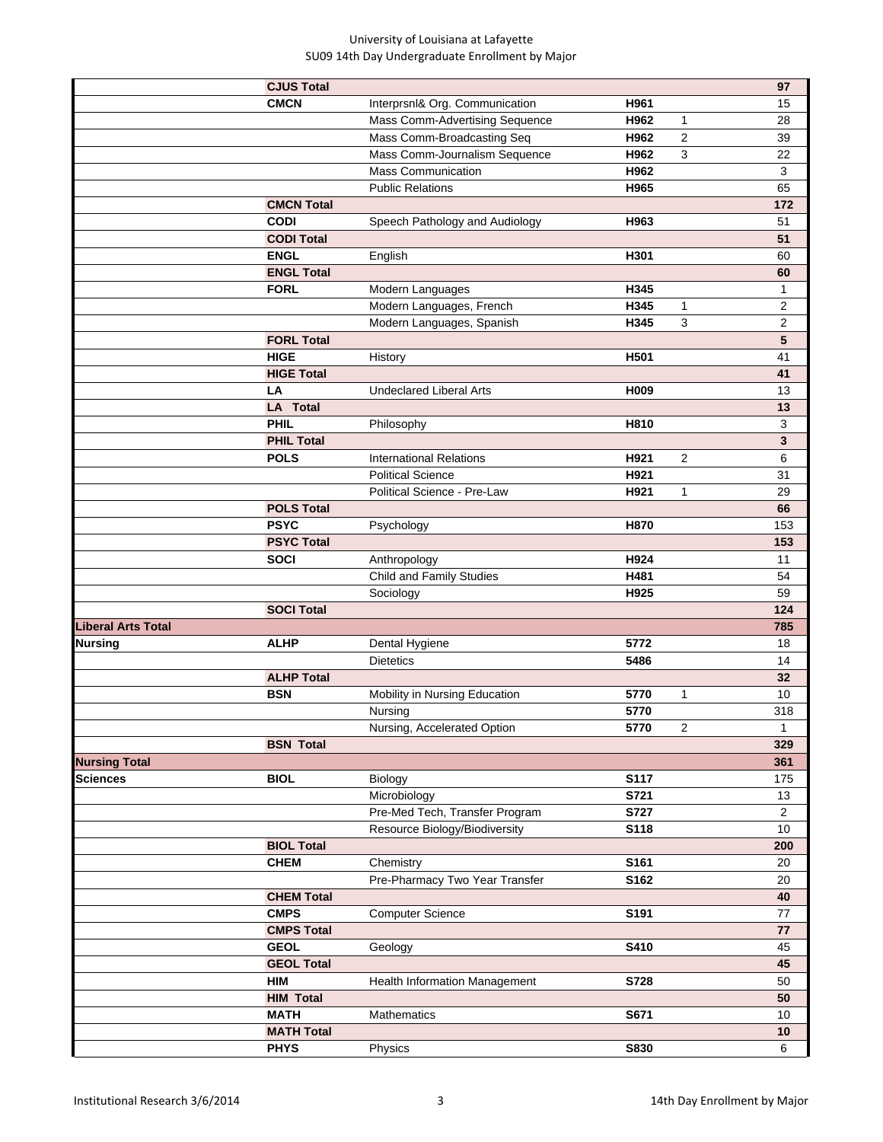|                           | <b>CJUS Total</b> |                                 |             | 97                            |
|---------------------------|-------------------|---------------------------------|-------------|-------------------------------|
|                           | <b>CMCN</b>       | Interprsnl& Org. Communication  | H961        | 15                            |
|                           |                   | Mass Comm-Advertising Sequence  | H962        | 1<br>28                       |
|                           |                   | Mass Comm-Broadcasting Seq      | H962        | $\overline{\mathbf{c}}$<br>39 |
|                           |                   | Mass Comm-Journalism Sequence   | H962        | 3<br>22                       |
|                           |                   | <b>Mass Communication</b>       | H962        | 3                             |
|                           |                   | <b>Public Relations</b>         | H965        | 65                            |
|                           | <b>CMCN Total</b> |                                 |             | 172                           |
|                           | <b>CODI</b>       | Speech Pathology and Audiology  | H963        | 51                            |
|                           | <b>CODI Total</b> |                                 |             | 51                            |
|                           | <b>ENGL</b>       | English                         | H301        | 60                            |
|                           | <b>ENGL Total</b> |                                 |             | 60                            |
|                           | <b>FORL</b>       | Modern Languages                | H345        | 1                             |
|                           |                   | Modern Languages, French        | H345        | $\overline{\mathbf{c}}$<br>1  |
|                           |                   | Modern Languages, Spanish       | H345        | 3<br>$\mathbf{2}$             |
|                           | <b>FORL Total</b> |                                 |             | 5                             |
|                           | <b>HIGE</b>       | History                         | H501        | 41                            |
|                           | <b>HIGE Total</b> |                                 |             | 41                            |
|                           | LA                | <b>Undeclared Liberal Arts</b>  | H009        | 13                            |
|                           | <b>LA Total</b>   |                                 |             | 13                            |
|                           | <b>PHIL</b>       | Philosophy                      | H810        | 3                             |
|                           | <b>PHIL Total</b> |                                 |             | 3                             |
|                           | <b>POLS</b>       | <b>International Relations</b>  | H921        | 2<br>6                        |
|                           |                   | <b>Political Science</b>        | H921        | 31                            |
|                           |                   | Political Science - Pre-Law     | H921        | 29<br>$\mathbf{1}$            |
|                           | <b>POLS Total</b> |                                 |             | 66                            |
|                           | <b>PSYC</b>       | Psychology                      | H870        | 153                           |
|                           | <b>PSYC Total</b> |                                 |             | 153                           |
|                           | <b>SOCI</b>       | Anthropology                    | H924        | 11                            |
|                           |                   | <b>Child and Family Studies</b> | H481        | 54                            |
|                           |                   | Sociology                       | H925        | 59                            |
|                           | <b>SOCI Total</b> |                                 |             | 124                           |
| <b>Liberal Arts Total</b> |                   |                                 |             | 785                           |
| <b>Nursing</b>            | <b>ALHP</b>       | Dental Hygiene                  | 5772        | 18                            |
|                           |                   | <b>Dietetics</b>                | 5486        | 14                            |
|                           | <b>ALHP Total</b> |                                 |             | 32                            |
|                           | <b>BSN</b>        | Mobility in Nursing Education   | 5770        | $\mathbf{1}$<br>10            |
|                           |                   | Nursing                         | 5770        | 318                           |
|                           |                   | Nursing, Accelerated Option     | 5770        | $\overline{2}$<br>1           |
|                           | <b>BSN Total</b>  |                                 |             | 329                           |
| <b>Nursing Total</b>      |                   |                                 |             | 361                           |
| Sciences                  | <b>BIOL</b>       | Biology                         | S117        | 175                           |
|                           |                   | Microbiology                    | S721        | 13                            |
|                           |                   | Pre-Med Tech, Transfer Program  | S727        | $\overline{2}$                |
|                           |                   | Resource Biology/Biodiversity   | S118        | 10                            |
|                           | <b>BIOL Total</b> |                                 |             | 200                           |
|                           | <b>CHEM</b>       | Chemistry                       | S161        | 20                            |
|                           |                   | Pre-Pharmacy Two Year Transfer  | S162        | 20                            |
|                           | <b>CHEM Total</b> |                                 |             | 40                            |
|                           | <b>CMPS</b>       | <b>Computer Science</b>         | S191        | 77                            |
|                           | <b>CMPS Total</b> |                                 |             | 77                            |
|                           | <b>GEOL</b>       | Geology                         | S410        | 45                            |
|                           | <b>GEOL Total</b> |                                 |             | 45                            |
|                           | <b>HIM</b>        | Health Information Management   | S728        | 50                            |
|                           | <b>HIM Total</b>  |                                 |             | 50                            |
|                           | <b>MATH</b>       | Mathematics                     | S671        | 10                            |
|                           | <b>MATH Total</b> |                                 |             | $10$                          |
|                           | <b>PHYS</b>       | Physics                         | <b>S830</b> | 6                             |
|                           |                   |                                 |             |                               |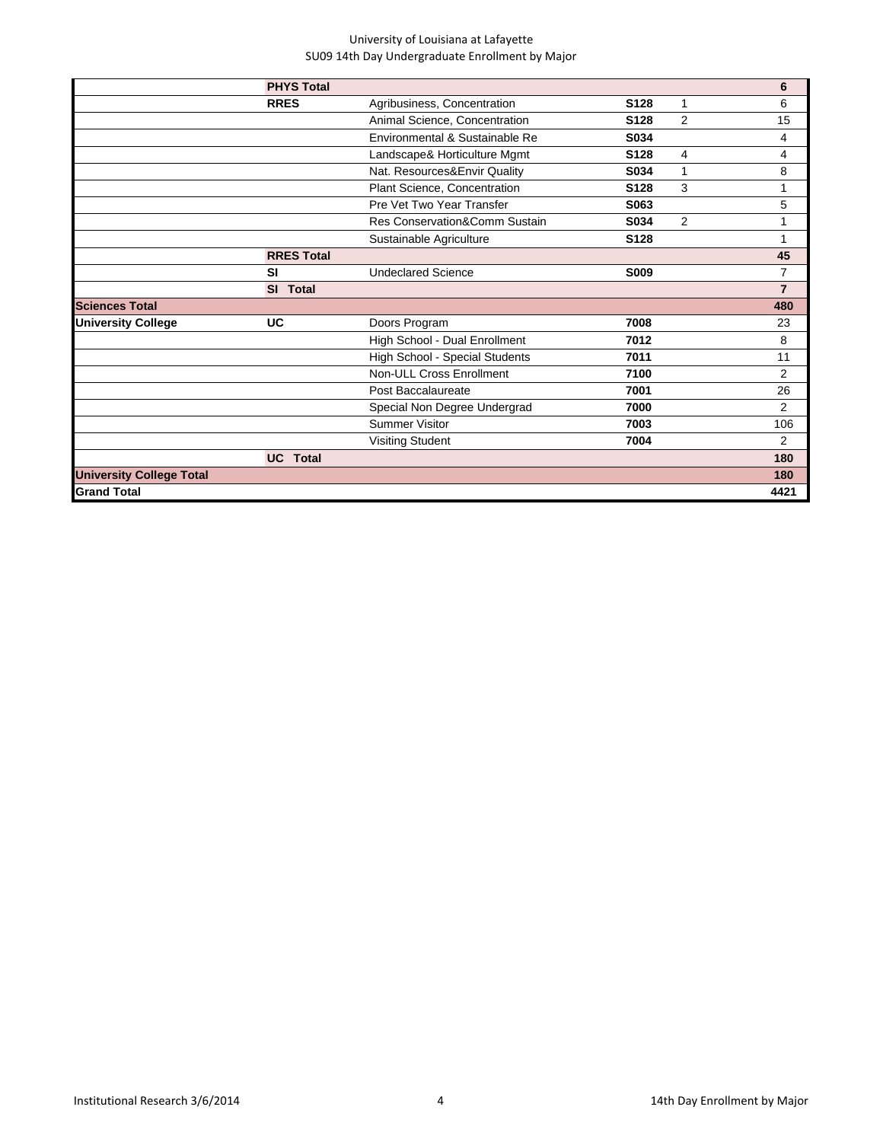|                                 | <b>PHYS Total</b> |                                |                  |                | 6              |
|---------------------------------|-------------------|--------------------------------|------------------|----------------|----------------|
|                                 | <b>RRES</b>       | Agribusiness, Concentration    | S128             | 1              | 6              |
|                                 |                   | Animal Science, Concentration  | S <sub>128</sub> | 2              | 15             |
|                                 |                   | Environmental & Sustainable Re | S034             |                | 4              |
|                                 |                   | Landscape& Horticulture Mgmt   | S128             | 4              | 4              |
|                                 |                   | Nat. Resources&Envir Quality   | S034             | 1              | 8              |
|                                 |                   | Plant Science, Concentration   | S128             | 3              | 1              |
|                                 |                   | Pre Vet Two Year Transfer      | S063             |                | 5              |
|                                 |                   | Res Conservation&Comm Sustain  | S034             | $\overline{2}$ | 1              |
|                                 |                   | Sustainable Agriculture        | S128             |                | 1              |
|                                 | <b>RRES Total</b> |                                |                  |                | 45             |
|                                 | <b>SI</b>         | <b>Undeclared Science</b>      | S009             |                | $\overline{7}$ |
|                                 | SI Total          |                                |                  |                | $\overline{7}$ |
| <b>Sciences Total</b>           |                   |                                |                  |                | 480            |
| <b>University College</b>       | UC                | Doors Program                  | 7008             |                | 23             |
|                                 |                   | High School - Dual Enrollment  | 7012             |                | 8              |
|                                 |                   | High School - Special Students | 7011             |                | 11             |
|                                 |                   | Non-ULL Cross Enrollment       | 7100             |                | $\overline{2}$ |
|                                 |                   | Post Baccalaureate             | 7001             |                | 26             |
|                                 |                   | Special Non Degree Undergrad   | 7000             |                | $\overline{2}$ |
|                                 |                   | <b>Summer Visitor</b>          | 7003             |                | 106            |
|                                 |                   | <b>Visiting Student</b>        | 7004             |                | $\overline{2}$ |
|                                 | <b>UC</b> Total   |                                |                  |                | 180            |
| <b>University College Total</b> |                   |                                |                  |                | 180            |
| <b>Grand Total</b>              |                   |                                |                  |                | 4421           |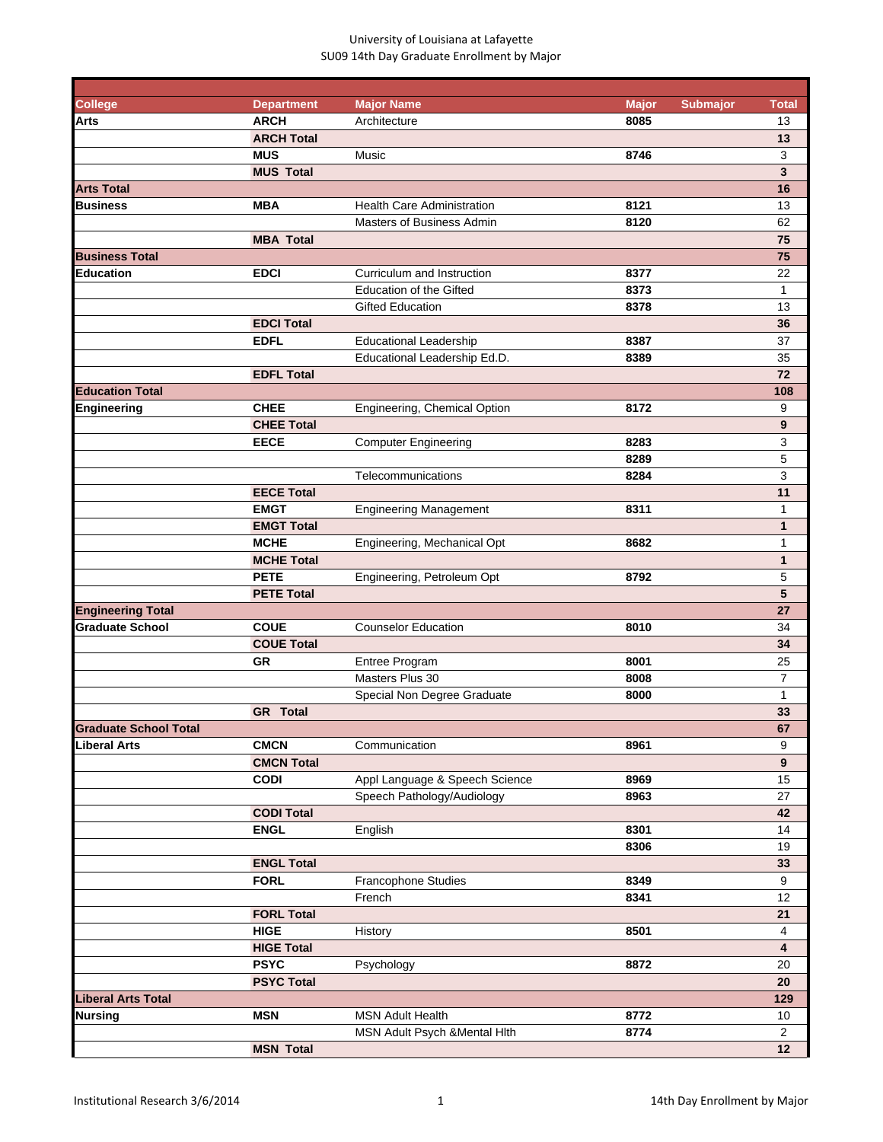| <b>College</b>               | <b>Department</b> | <b>Major Name</b>                 | <b>Major</b> | <b>Submajor</b> | <b>Total</b>   |
|------------------------------|-------------------|-----------------------------------|--------------|-----------------|----------------|
| Arts                         | <b>ARCH</b>       | Architecture                      | 8085         |                 | 13             |
|                              | <b>ARCH Total</b> |                                   |              |                 | 13             |
|                              | <b>MUS</b>        | Music                             | 8746         |                 | 3              |
|                              | <b>MUS Total</b>  |                                   |              |                 | 3              |
| <b>Arts Total</b>            |                   |                                   |              |                 | 16             |
| <b>Business</b>              | <b>MBA</b>        | <b>Health Care Administration</b> | 8121         |                 | 13             |
|                              |                   | <b>Masters of Business Admin</b>  | 8120         |                 | 62             |
|                              | <b>MBA Total</b>  |                                   |              |                 | 75             |
| <b>Business Total</b>        |                   |                                   |              |                 | 75             |
| <b>Education</b>             | <b>EDCI</b>       | Curriculum and Instruction        | 8377         |                 | 22             |
|                              |                   | <b>Education of the Gifted</b>    | 8373         |                 | $\mathbf{1}$   |
|                              |                   | <b>Gifted Education</b>           | 8378         |                 | 13             |
|                              | <b>EDCI Total</b> |                                   |              |                 | 36             |
|                              | <b>EDFL</b>       | <b>Educational Leadership</b>     | 8387         |                 | 37             |
|                              |                   | Educational Leadership Ed.D.      | 8389         |                 | 35             |
|                              | <b>EDFL Total</b> |                                   |              |                 | 72             |
|                              |                   |                                   |              |                 |                |
| <b>Education Total</b>       |                   |                                   |              |                 | 108            |
| Engineering                  | <b>CHEE</b>       | Engineering, Chemical Option      | 8172         |                 | 9              |
|                              | <b>CHEE Total</b> |                                   |              |                 | 9              |
|                              | <b>EECE</b>       | <b>Computer Engineering</b>       | 8283         |                 | 3              |
|                              |                   |                                   | 8289         |                 | 5              |
|                              |                   | Telecommunications                | 8284         |                 | 3              |
|                              | <b>EECE Total</b> |                                   |              |                 | 11             |
|                              | <b>EMGT</b>       | <b>Engineering Management</b>     | 8311         |                 | 1              |
|                              | <b>EMGT Total</b> |                                   |              |                 | $\mathbf{1}$   |
|                              | <b>MCHE</b>       | Engineering, Mechanical Opt       | 8682         |                 | 1              |
|                              | <b>MCHE Total</b> |                                   |              |                 | $\mathbf{1}$   |
|                              | <b>PETE</b>       | Engineering, Petroleum Opt        | 8792         |                 | 5              |
|                              | <b>PETE Total</b> |                                   |              |                 | 5              |
| <b>Engineering Total</b>     |                   |                                   |              |                 | 27             |
| <b>Graduate School</b>       | <b>COUE</b>       | <b>Counselor Education</b>        | 8010         |                 | 34             |
|                              | <b>COUE Total</b> |                                   |              |                 | 34             |
|                              | <b>GR</b>         | Entree Program                    | 8001         |                 | 25             |
|                              |                   | Masters Plus 30                   | 8008         |                 | 7              |
|                              |                   | Special Non Degree Graduate       | 8000         |                 | 1              |
|                              | <b>GR</b> Total   |                                   |              |                 | 33             |
| <b>Graduate School Total</b> |                   |                                   |              |                 | 67             |
| Liberal Arts                 | <b>CMCN</b>       | Communication                     | 8961         |                 | 9              |
|                              | <b>CMCN Total</b> |                                   |              |                 | $\overline{9}$ |
|                              | <b>CODI</b>       | Appl Language & Speech Science    | 8969         |                 | 15             |
|                              |                   | Speech Pathology/Audiology        | 8963         |                 | 27             |
|                              |                   |                                   |              |                 | 42             |
|                              | <b>CODI Total</b> |                                   |              |                 |                |
|                              | <b>ENGL</b>       | English                           | 8301         |                 | 14             |
|                              |                   |                                   | 8306         |                 | 19             |
|                              | <b>ENGL Total</b> |                                   |              |                 | 33             |
|                              | <b>FORL</b>       | Francophone Studies               | 8349         |                 | 9              |
|                              |                   | French                            | 8341         |                 | 12             |
|                              | <b>FORL Total</b> |                                   |              |                 | 21             |
|                              | <b>HIGE</b>       | History                           | 8501         |                 | 4              |
|                              | <b>HIGE Total</b> |                                   |              |                 | 4              |
|                              | <b>PSYC</b>       | Psychology                        | 8872         |                 | 20             |
|                              | <b>PSYC Total</b> |                                   |              |                 | 20             |
| <b>Liberal Arts Total</b>    |                   |                                   |              |                 | 129            |
| Nursing                      | <b>MSN</b>        | <b>MSN Adult Health</b>           | 8772         |                 | 10             |
|                              |                   | MSN Adult Psych & Mental Hith     | 8774         |                 | $\overline{2}$ |
|                              | <b>MSN Total</b>  |                                   |              |                 | 12             |
|                              |                   |                                   |              |                 |                |